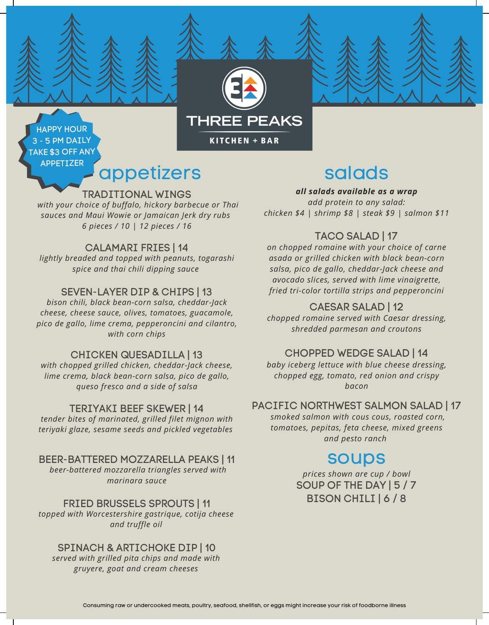

# appetizers

TRADITIONAL WINGS

*with your choice of buffalo, hickory barbecue or Thai sauces and Maui Wowie or Jamaican Jerk dry rubs 6 pieces / 10 | 12 pieces / 16*

#### CALAMARI FRIES | 14

*lightly breaded and topped with peanuts, togarashi spice and thai chili dipping sauce*

#### SEVEN-LAYER DIP & CHIPS | 13

*bison chili, black bean-corn salsa, cheddar-Jack cheese, cheese sauce, olives, tomatoes, guacamole, pico de gallo, lime crema, pepperoncini and cilantro, with corn chips*

#### CHICKEN QUESADILLA | 13

*with chopped grilled chicken, cheddar-Jack cheese, lime crema, black bean-corn salsa, pico de gallo, queso fresco and a side of salsa*

#### TERIYAKI BEEF SKEWER | 14

*tender bites of marinated, grilled filet mignon with teriyaki glaze, sesame seeds and pickled vegetables*

#### BEER-BATTERED MOZZARELLA PEAKS | 11

*beer-battered mozzarella triangles served with marinara sauce*

FRIED BRUSSELS SPROUTS | 11 *topped with Worcestershire gastrique, cotija cheese and truffle oil*

#### SPINACH & ARTICHOKE DIP | 10

*served with grilled pita chips and made with gruyere, goat and cream cheeses*

# salads

*all salads available as a wrap*

*add protein to any salad: chicken \$4 | shrimp \$8 | steak \$9 | salmon \$11*

### TACO SALAD | 17

*on chopped romaine with your choice of carne asada or grilled chicken with black bean-corn salsa, pico de gallo, cheddar-Jack cheese and avocado slices, served with lime vinaigrette, fried tri-color tortilla strips and pepperoncini*

#### CAESAR SALAD | 12

*chopped romaine served with Caesar dressing, shredded parmesan and croutons*

#### CHOPPED WEDGE SALAD | 14

*baby iceberg lettuce with blue cheese dressing, chopped egg, tomato, red onion and crispy bacon*

#### PACIFIC NORTHWEST SALMON SALAD | 17

*smoked salmon with cous cous, roasted corn, tomatoes, pepitas, feta cheese, mixed greens and pesto ranch*

# soups

SOUP OF THE DAY | 5 / 7 BISON CHILI | 6 / 8 *prices shown are cup / bowl*

**THREE PEAKS** 

**KITCHEN + BAR**